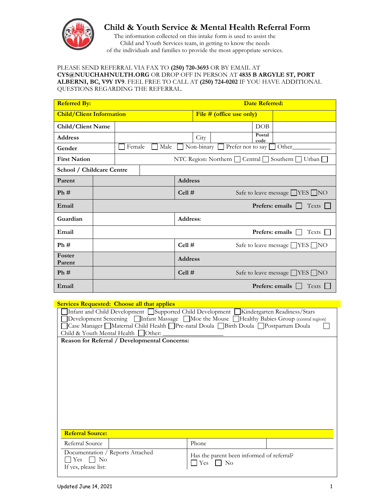

# **Child & Youth Service & Mental Health Referral Form**

The information collected on this intake form is used to assist the Child and Youth Services team, in getting to know the needs of the individuals and families to provide the most appropriate services.

### PLEASE SEND REFERRAL VIA FAX TO **(250) 720-3693** OR BY EMAIL AT **CYS@NUUCHAHNULTH.ORG** OR DROP OFF IN PERSON AT **4835 B ARGYLE ST, PORT ALBERNI, BC, V9Y 1V9**. FEEL FREE TO CALL AT **(250) 724-0202** IF YOU HAVE ADDITIONAL QUESTIONS REGARDING THE REFERRAL.

| <b>Referred By:</b>             |                        |                                                                   |  |                | <b>Date Referred:</b>    |                                     |                 |                                            |  |
|---------------------------------|------------------------|-------------------------------------------------------------------|--|----------------|--------------------------|-------------------------------------|-----------------|--------------------------------------------|--|
| <b>Child/Client Information</b> |                        |                                                                   |  |                | File # (office use only) |                                     |                 |                                            |  |
| Child/Client Name               |                        |                                                                   |  |                |                          |                                     | DOB             |                                            |  |
| <b>Address</b>                  |                        |                                                                   |  |                | City                     |                                     | Postal<br>code  |                                            |  |
| Gender                          |                        | Non-binary $\Box$<br>Prefer not to say<br>Female<br>Male<br>Other |  |                |                          |                                     |                 |                                            |  |
| <b>First Nation</b>             |                        | NTC Region: Northern   Central   Southern   Urban                 |  |                |                          |                                     |                 |                                            |  |
| School / Childcare Centre       |                        |                                                                   |  |                |                          |                                     |                 |                                            |  |
| Parent                          |                        |                                                                   |  | <b>Address</b> |                          |                                     |                 |                                            |  |
| Ph#                             |                        |                                                                   |  | Cell#          |                          | Safe to leave message <u>VES</u> NO |                 |                                            |  |
| Email                           | <b>Prefers:</b> emails |                                                                   |  |                |                          | Texts                               |                 |                                            |  |
| Guardian                        |                        |                                                                   |  | Address:       |                          |                                     |                 |                                            |  |
| Email                           |                        |                                                                   |  |                |                          |                                     | Prefers: emails | Texts                                      |  |
| Ph#                             |                        |                                                                   |  | Cell#          |                          |                                     |                 | Safe to leave message <b>YES</b> NO        |  |
| Foster<br>Parent                |                        |                                                                   |  | <b>Address</b> |                          |                                     |                 |                                            |  |
| Ph#                             |                        |                                                                   |  | Cell#          |                          |                                     |                 | Safe to leave message $\Box$ YES $\Box$ NO |  |
| Email                           |                        |                                                                   |  |                |                          |                                     |                 | Texts<br><b>Prefers:</b> emails            |  |

## **Services Requested: Choose all that applies**

| $\frac{1}{2}$                                                                                                                                                                                                                                                                                                           |                                           |  |  |  |  |  |  |  |
|-------------------------------------------------------------------------------------------------------------------------------------------------------------------------------------------------------------------------------------------------------------------------------------------------------------------------|-------------------------------------------|--|--|--|--|--|--|--|
| Infant and Child Development Supported Child Development Kindergarten Readiness/Stars<br>Development Screening   Infant Massage   Moe the Mouse   Healthy Babies Group (central region)<br>Case Manager Maternal Child Health I Pre-natal Doula Birth Doula I Postpartum Doula<br>Child & Youth Mental Health □Other: _ |                                           |  |  |  |  |  |  |  |
|                                                                                                                                                                                                                                                                                                                         |                                           |  |  |  |  |  |  |  |
| <b>Reason for Referral / Developmental Concerns:</b>                                                                                                                                                                                                                                                                    |                                           |  |  |  |  |  |  |  |
|                                                                                                                                                                                                                                                                                                                         |                                           |  |  |  |  |  |  |  |
|                                                                                                                                                                                                                                                                                                                         |                                           |  |  |  |  |  |  |  |
|                                                                                                                                                                                                                                                                                                                         |                                           |  |  |  |  |  |  |  |
|                                                                                                                                                                                                                                                                                                                         |                                           |  |  |  |  |  |  |  |
|                                                                                                                                                                                                                                                                                                                         |                                           |  |  |  |  |  |  |  |
|                                                                                                                                                                                                                                                                                                                         |                                           |  |  |  |  |  |  |  |
|                                                                                                                                                                                                                                                                                                                         |                                           |  |  |  |  |  |  |  |
|                                                                                                                                                                                                                                                                                                                         |                                           |  |  |  |  |  |  |  |
|                                                                                                                                                                                                                                                                                                                         |                                           |  |  |  |  |  |  |  |
|                                                                                                                                                                                                                                                                                                                         |                                           |  |  |  |  |  |  |  |
|                                                                                                                                                                                                                                                                                                                         |                                           |  |  |  |  |  |  |  |
|                                                                                                                                                                                                                                                                                                                         |                                           |  |  |  |  |  |  |  |
|                                                                                                                                                                                                                                                                                                                         |                                           |  |  |  |  |  |  |  |
|                                                                                                                                                                                                                                                                                                                         |                                           |  |  |  |  |  |  |  |
|                                                                                                                                                                                                                                                                                                                         |                                           |  |  |  |  |  |  |  |
|                                                                                                                                                                                                                                                                                                                         |                                           |  |  |  |  |  |  |  |
|                                                                                                                                                                                                                                                                                                                         |                                           |  |  |  |  |  |  |  |
|                                                                                                                                                                                                                                                                                                                         |                                           |  |  |  |  |  |  |  |
|                                                                                                                                                                                                                                                                                                                         |                                           |  |  |  |  |  |  |  |
|                                                                                                                                                                                                                                                                                                                         |                                           |  |  |  |  |  |  |  |
|                                                                                                                                                                                                                                                                                                                         |                                           |  |  |  |  |  |  |  |
|                                                                                                                                                                                                                                                                                                                         |                                           |  |  |  |  |  |  |  |
|                                                                                                                                                                                                                                                                                                                         |                                           |  |  |  |  |  |  |  |
| <b>Referral Source:</b>                                                                                                                                                                                                                                                                                                 |                                           |  |  |  |  |  |  |  |
|                                                                                                                                                                                                                                                                                                                         |                                           |  |  |  |  |  |  |  |
|                                                                                                                                                                                                                                                                                                                         |                                           |  |  |  |  |  |  |  |
| Referral Source                                                                                                                                                                                                                                                                                                         | Phone                                     |  |  |  |  |  |  |  |
|                                                                                                                                                                                                                                                                                                                         |                                           |  |  |  |  |  |  |  |
|                                                                                                                                                                                                                                                                                                                         |                                           |  |  |  |  |  |  |  |
| Documentation / Reports Attached                                                                                                                                                                                                                                                                                        | Has the parent been informed of referral? |  |  |  |  |  |  |  |
| Yes<br>$\Box$ No                                                                                                                                                                                                                                                                                                        |                                           |  |  |  |  |  |  |  |
|                                                                                                                                                                                                                                                                                                                         | Yes<br>No                                 |  |  |  |  |  |  |  |
| If yes, please list:                                                                                                                                                                                                                                                                                                    |                                           |  |  |  |  |  |  |  |
|                                                                                                                                                                                                                                                                                                                         |                                           |  |  |  |  |  |  |  |